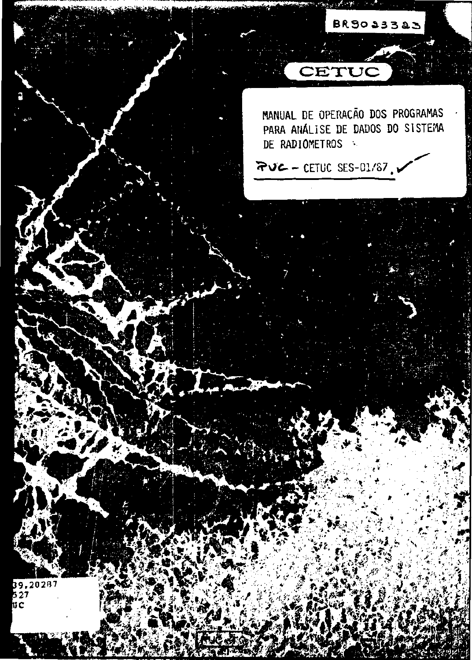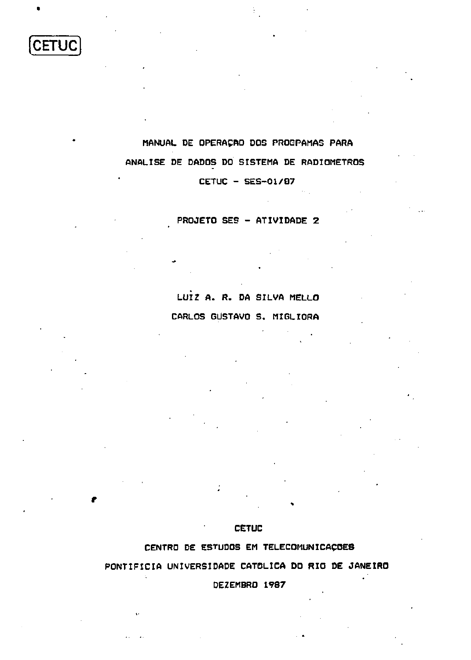CETUC

# **MANUAL DE OPERAÇÃO DOS PROGPAMAS PARA ANALISE DE DADOS DO SISTEMA DE RADIOMETROS**

**CETUC - SES-01/07** 

# **PROJETO SES - ATIVIDADE 2**

# **LUIZ A. R. DA SILVA MELLO CARLOS GUSTAVO S. MIGLIORA**

# **CETUC**

# **CENTRO DE ESTUDOS EM TELECOMUNICAÇÕES**

# **PONTIFÍCIA UNIVERSIDADE CATÓLICA DO RIO DE JANEIRO**

**DEZEMBRO 1987**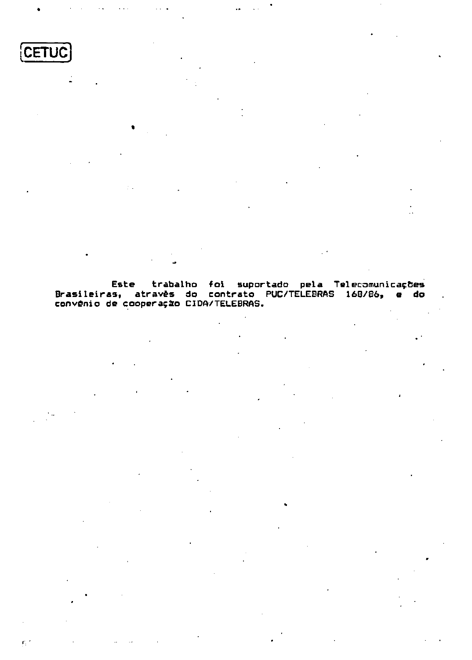

 $\mathbf{F}_\mathrm{c}$  :

**Este trabalho foi suportado pela Telecomunicações Brasileiras, através do contrato PUC/TELEBRAS 168/86, e do convênio de cooperação CIDA/TELEBRAS.**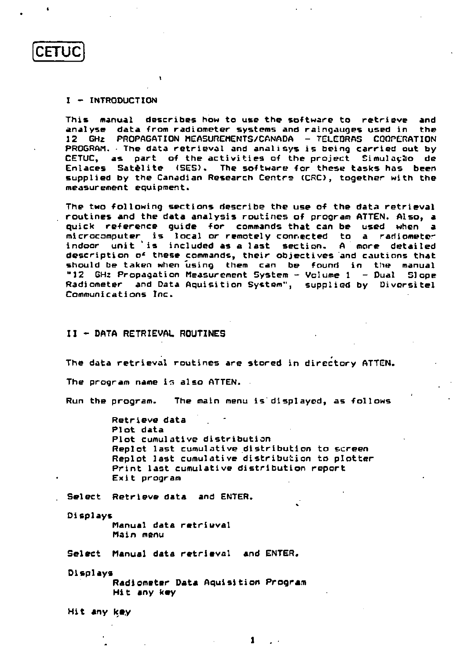

## **I - INTRODUCTION**

**This manual describes how to use the software to retrieve and analyse data from radiometer systems and raingauges used in the 12 GHz PROPAGATION MEASUREMENTS/CANADA - TELEBRAS COOPERATION PROGRAM • The data retrieval and analisys is being carried out by CETUC, as part of the activities of the project Simulação de Enlaces Satélite (SES). The software for these tasks has been supplied by the Canadian Research Centra (CRO, together with the measurement equipment.** 

**The two following sections describe the use of the data retrieval routines and the data analysis routines of program ATTEN. Also, a quick reference guide for commands that can be used when a microcomputer is local or remotely connected to a radiometer indoor unit is included as a last section. A diore detailed description o\* these commands, their objectives and cautions that**  should be taken when using them can be found in the manual **"12 GHz Propagation Measurement System - Volume 1 - Dual SI ope Radiometer and Data Aqui sit ion System", supplied by Diversitel Communications Inc.** 

#### **II - DATA RETRIEVAL ROUTINES**

**The data retrieval routines are stored in directory ATTEN.**  The program name is also ATTEN.

**Run the program. The main menu is displayed, as follows** 

**Retrieve data Plot data Plot cumulative distribution Replot last cumulative distribution to screen Replot last cumulative distribution to plotter Print last cumulative distribution report Exit program** 

**Select Retrieve data and ENTER.** 

**Displays** 

**Manual data retrieval Main menu** 

**Select Manual data retrieval and ENTER.** 

**Displays Radiometer Data Aqui sition Program Hit any key** 

**Hit any key**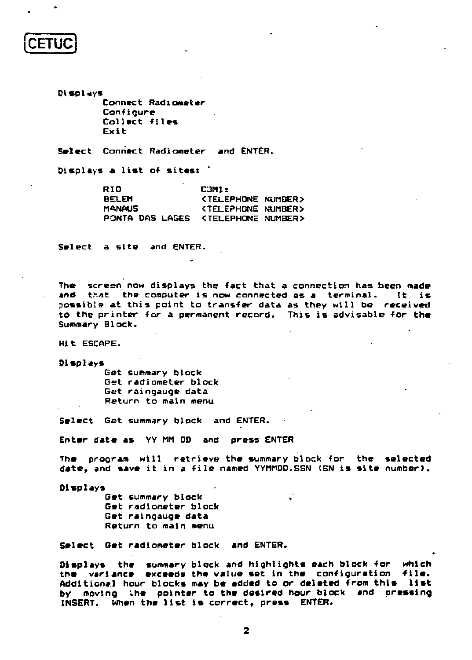# **CETUC**

**Displays Connect Radiometer Configure Collect files Exit** 

**Select Connect Radiometer and ENTER.** 

**Displays a list of sites:** 

| RIO             | <b>COMI:</b>                 |  |
|-----------------|------------------------------|--|
| BELEM           | KTELEPHONE NUMBER>           |  |
| MANAUS          | <b>KTELEPHONE NUMBER&gt;</b> |  |
| PONTA DAS LAGES | KTELEPHONE NUMBER>           |  |

**Select a site and ENTER.** 

**The screen now displays the fact that a connection has been made and that the computer is now connected as a terminal. It is possible at this point to transfer data as they will be received to the printer for a permanent record. This is advisable for the Summary Block.** 

**Hit ESCAPE.** 

**Displays** 

**Get summary block Get radiometer block Get raingauge data Return to main menu** 

**Select Get summary block and ENTER.** 

**Enter date as YY Mil DD and press ENTER** 

**The program will retrieve the summary block for the selected date» and save it in a file named YYMMDD.SSN (SN is site number).** 

**Displays** 

Get summary block **Get radiometer block Get raingauge data Return to main menu** 

**Select Get radiometer block and ENTER.** 

**Displays the summary block and highlights each block for which the variance exceeds the value set in the configuration -file. Additional hour blocks may be added to or deleted from this list by moving Lhe pointer to the desired hour block and pressing INSERT. When the list is correct, press ENTER.**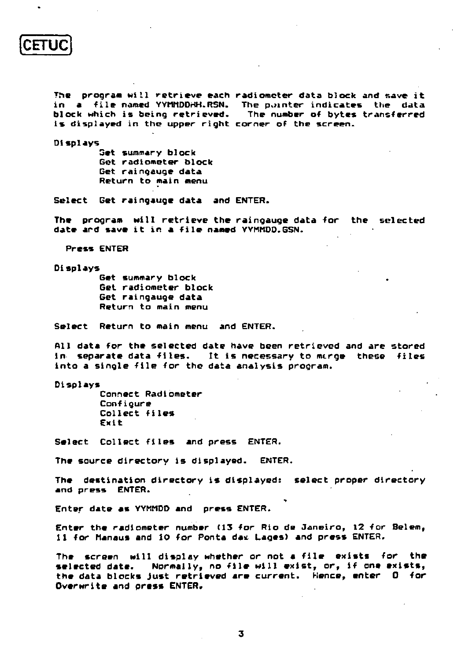**CETUC** 

**The program will retrieve each radiometer data block and save it in a file named YYIitlDDHH.RSN. The pointer indicates the data is displayed in the upper right corner of the screen.** 

**block which is being retrieved. The number of bytes transferred** 

**Displays** 

**Set summary block Get radiometer block Get raingauge data Return to main menu** 

**Select Get raingauge data and ENTER.** 

**The program will retrieve the raingauge data for the selected date ard save it in a file named YYWMDD.GSN.** 

**Press ENTER** 

**Displays** 

**Get summary block . Get radiometer block Get raingauge data Return to main menu** 

**Select Return to main menu and ENTER.** 

**All data for the selected date have been retrieved and Are stored in separate data files. It is necessary to merge these files into a single file for the data analysis program.** 

**Displays** 

**Connect Radiometer Configure Collect files Exit** 

**Select Collect files and press ENTER.** 

**The source directory is displayed. ENTER.** 

**The destination directory is displayed: select proper directory and press ENTER.** 

**Enter date as YYMMDD and press ENTER.** 

Enter the radiometer number (13 for Rio de Janeiro, 12 for Belem, **11 for Manaus and 10 for Ponta das Lages) and press ENTER.** 

**The screen will display whether or not a file exists for the selected date. Normally, no file will exist, or, if one exists, the data blocks just retrieved «re current. Hence, enter 0 for Overwrite and press ENTER.** 

**3**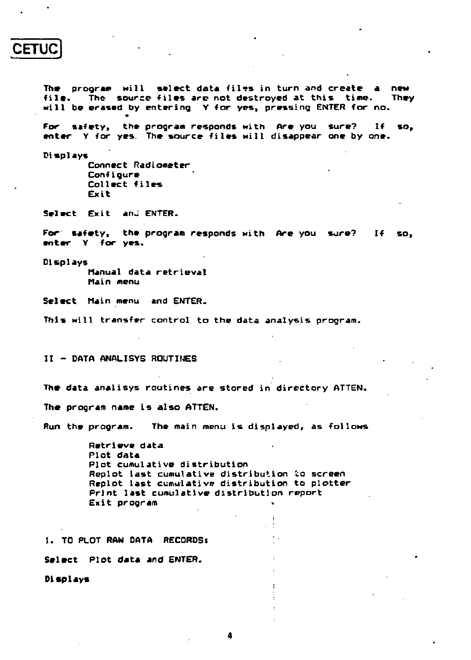# **CETUC \***

**The program will select data filçs in turn and create a new**  file. The source files are not destroyed at this time. **will be erased by entering Y for yes, pressing ENTER for no.** 

**For safety, the program responds with Are you sure? If so, enter Y for yes. The source files will disappear one by one.** 

**Displays** 

**Connect Radiometer Conf i gure Collect files . Exit** 

**Select Exit ana ENTER.** 

**For safety, the program responds with Are you sure? If so, enter Y for yes.** 

**Displays Manual data retrieval Main menu** 

**Select Main menu and ENTER.** 

**This will transfer control to the data analysis program.** 

**II - DATA ANALISYS ROUTINES** 

**The data analisys routines are stored in directory ATTEN.** 

**The program name is also ATTEN.** 

**Run the program. The main menu is displayed, as follows** 

**Retrieve data Plot data Plot cumulative distribution Replot last cumulative distribution io screen Replot last cumulative distribution to plotter Print last cumulative distribution report**  Exit program

**1. TO PLOT RAW DATA RECORDSt** 

**Select Plot data and ENTER.** 

**Displays**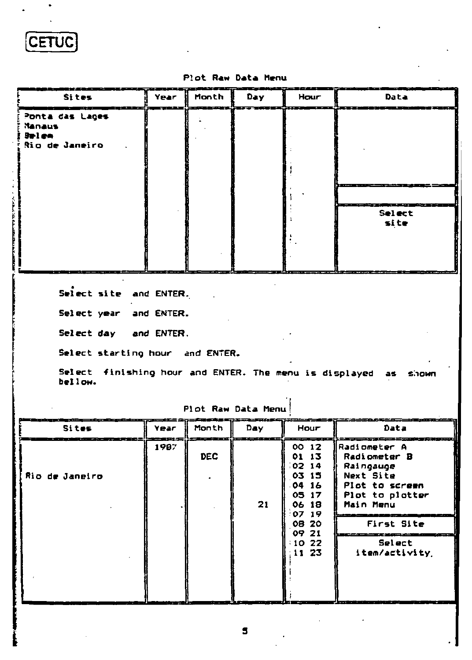**[CETUC** 

**I** 

# **Plot Raw Data Menu**

| <b>Sites</b>                                                                                                                                                                                                      | Year | Month | Day.                             | Hour                                                               | Data                                                                                                     |  |
|-------------------------------------------------------------------------------------------------------------------------------------------------------------------------------------------------------------------|------|-------|----------------------------------|--------------------------------------------------------------------|----------------------------------------------------------------------------------------------------------|--|
| Ponta das Lages<br><b>Hanaus</b><br><b>Belen</b><br>Rio de Janeiro                                                                                                                                                |      |       |                                  |                                                                    | Select<br>site                                                                                           |  |
|                                                                                                                                                                                                                   |      |       |                                  |                                                                    |                                                                                                          |  |
| Select site and ENTER.<br>Select year and ENTER.<br>Select day and ENTER.<br>Select starting hour and ENTER.<br>Select finishing hour and ENTER. The menu is displayed as shown<br>bellow.<br>Plot Raw Data Menul |      |       |                                  |                                                                    |                                                                                                          |  |
| Sites                                                                                                                                                                                                             | Year | Month | Day.                             | Hour                                                               | Data                                                                                                     |  |
| Rio de Janeiro                                                                                                                                                                                                    | 1987 | DEC   | 21                               | 00 12<br>01 13<br>0214<br>03 15<br>04 16<br>05 17<br>06 18<br>0719 | Radiometer A<br>Radiometer B<br>Raingauge<br>Next Site<br>Plot to screen<br>Plot to plotter<br>Main Menu |  |
|                                                                                                                                                                                                                   |      |       | 08 20<br>09 21<br>10.22<br>11 23 | First Site                                                         |                                                                                                          |  |
|                                                                                                                                                                                                                   |      |       |                                  | Select<br>item/activity.                                           |                                                                                                          |  |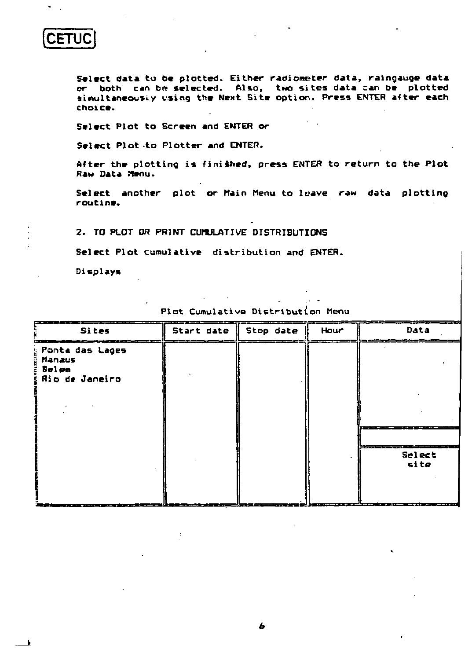**CETUC** 

**Select data to be plotted. Either radiometer data, raingauge data or both can be» selected. Also, two sites data can be plotted simultaneously using the Next Site option. Press ENTER after each choice.** 

**Select Plot to Screen and ENTER or** 

**Select Plot to Plotter and ENTER.** 

**After the plotting is finished, press ENTER to return to the Plot Raw Data Menu.** 

**Select another plot or Main Menu to leave raw data plotting routine.** 

**2. TO PLOT OR PRINT CUMULATIVE DISTRIBUTIONS** 

**Select Plot cumulative distribution and ENTER.** 

**Displays** 

| Sites                                                                | Start date | Stop date | Hour | Data                                                                                                                                                                                                                                                   |
|----------------------------------------------------------------------|------------|-----------|------|--------------------------------------------------------------------------------------------------------------------------------------------------------------------------------------------------------------------------------------------------------|
| <b>Ponta das Lages</b><br><b>Manaus</b><br>: Belem<br>Rio de Janeiro |            |           |      |                                                                                                                                                                                                                                                        |
| ---                                                                  | .          |           |      | Select<br>site<br><u>Andrew Harry Born Born Books, and the Company of the Company of the Company of the Company of the Company of the Company of the Company of the Company of the Company of the Company of the Company of the Company of the Com</u> |

**Plot Cumulative Distribution Menu**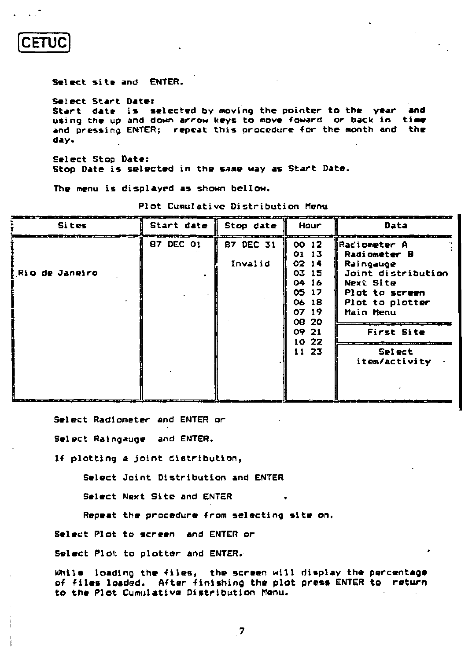**CETUC** 

**Select site and ENTER.** 

**Select Start Date: Start date is selected by moving the pointer to the year and using the up and down arrow keys to move toward or back in time**  and pressing ENTER; repeat this procedure for the month and the **day.** 

**Select Stop Date: Stop Date is selected in the same way as Start Date.** 

**The menu is displayed as shown bellow.** 

| <b>Sites</b>               | Start date<br><u> 대표 '대표 프로그램' 대표 등 한 사고 등 등 프로그램 대표 전</u> | Stop date            | Hour                                                                                                          | Data<br><b><i>Company's Service Company</i></b>                                                                                                                                             |
|----------------------------|------------------------------------------------------------|----------------------|---------------------------------------------------------------------------------------------------------------|---------------------------------------------------------------------------------------------------------------------------------------------------------------------------------------------|
| ________<br>Rio de Janeiro | 87 DEC 01                                                  | 87 DEC 31<br>Invalid | 00 12<br>01 13<br>0214<br>03 15<br>04 16<br>05 17<br>06 18<br>07 19<br><b>OB 20</b><br>09 21<br>1022<br>11 23 | .<br><b>IRaciometer</b> A<br><b>Radiometer B</b><br>Raingauge<br>Joint distribution<br>Next Site<br>Plot to screen<br>Plot to plotter<br>Main Menu<br>First Site<br>Select<br>item/activity |

**Plot Cumulative Distribution Menu** 

\_\_\_\_\_\_\_\_\_\_\_\_\_\_\_\_

**Select Radiometer and ENTER or** 

**Select Raingauge and ENTER.** 

**If plotting a joint distribution,** 

**Select Joint Distribution and ENTER** 

**Select Next Site and ENTER** 

**Repeat the procedure from selecting site on.** 

**Select Plot to screen and ENTER or** 

**Select Plot to plotter and ENTER.** 

**While loading the files, the screen will display the percentage of files loaded. After finishing the plot press ENTER to return to the Plot Cumulative Distribution Menu.**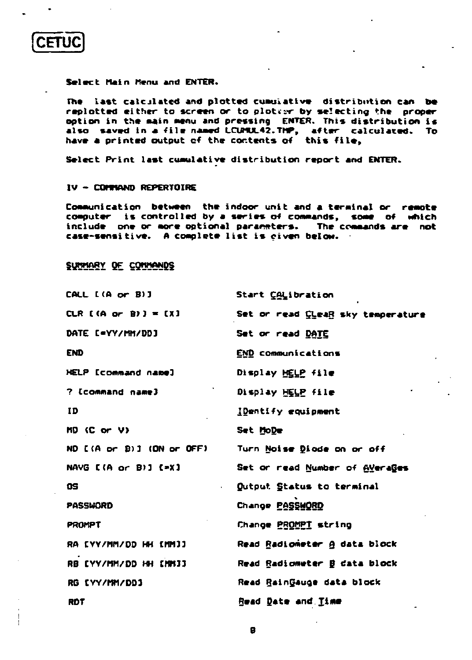**CETU** 

#### Select Main Menu and ENTER.

The last calculated and plotted cumulative distribution can be replotted either to screen or to ploteer by selecting the proper option in the main menu and pressing ENTER. This distribution is also saved in a file named LCUMUL42.THP, after calculated. To have a printed output of the contents of this file,

Select Print last cumulative distribution report and ENTER.

#### IV - COMMAND REPERTOIRE

Communication between the indoor unit and a terminal or remote computer is controlled by a series of commands, some of which include one or more optional parameters. The commands are not case-sensitive. A complete list is civen below.

# SUMMARY DE COMMANDS

| CALL [(A or B)]                 | Start CALibration                   |
|---------------------------------|-------------------------------------|
| CLR $[(A \text{ or } B)] = [X]$ | Set or read Cleag sky temperature   |
| DATE E=YY/MM/DDJ                | Set or read DATE                    |
| <b>END</b>                      | END communications                  |
| HELP [command name]             | Display HELP file                   |
| ? [command name]                | Display HELP file                   |
| ID                              | <b>IDentify equipment</b>           |
| $MD$ (C or V)                   | Set MoDe                            |
| ND [(A or B)] (DN or OFF)       | Turn Noise Diade on or off          |
| NAVG [(A or B)] [=X]            | Set or read Number of Averages      |
| <b>OS</b><br>×.                 | Qutput Status to terminal           |
| PASSWORD                        | Change PASSWORD                     |
| <b>PROMPT</b>                   | Change <u>PROMPT</u> string         |
| RA [YY/MM/DD HH [MM]]           | Read Radiometer & data block        |
| RB (YY/MM/DD HH [MM]]           | Read Radiometer <b>B</b> data block |
| RG EYY/MM/DD1                   | Read RainGauge data block           |
| <b>RDT</b>                      | <b>Read Date and Iime</b>           |

8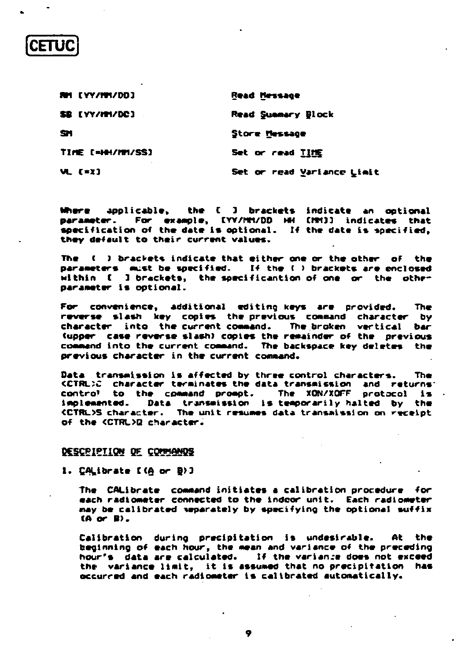| RM [YY/MM/DD]    | Read Hessage               |  |  |
|------------------|----------------------------|--|--|
| SB [YY/MM/DC]    | Read Summary Block         |  |  |
| SH.              | Store Message              |  |  |
| TIME [=HH/MM/SS] | Set or read TIME           |  |  |
| VL ( <b>*</b> I) | Set or read Variance Limit |  |  |

the [ ] brackets indicate an optional Where applicable. parameter. For example, [YV/MMVDD HH [MMT]] indicates that specification of the date is optional. If the date is specified, they default to their current values.

The ( ) brackets indicate that either one or the other of the parameters must be specified. If the ( ) brackets are enclosed within [ ] brackets, the specificantion of one or the other parameter is optional.

For convenience, additional editing keys are provided. **The** reverse slash key copies the previous command character bv character into the current command. The broken vertical bar (upper case reverse slash) copies the remainder of the previous command into the current command. The backspace key deletes the previous character in the current command.

Data transmission is affected by three control characters. **The** KCTRL)C character terminates the data transmission and returns: control to the command prompt. The XON/XOFF protocol is . Data transmission is temporarily halted by the inplemented. <CTRL>S character. The unit resumes data transmission on receipt of the <CTRL>Q character.

## DESCRIPTION DE COMMANDS

1. CALibrate [(A or B) ]

The CALibrate command initiates a calibration procedure for each radiometer connected to the indoor unit. Each radiometer may be calibrated separately by specifying the optional suffix  $(A \text{ or } B)$ .

Calibration during precipitation is undesirable. At the. beginning of each hour, the mean and variance of the preceding hour's data are calculated. If the variance does not exceed the variance limit, it is assumed that no precipitation has occurred and each radiometer is calibrated automatically.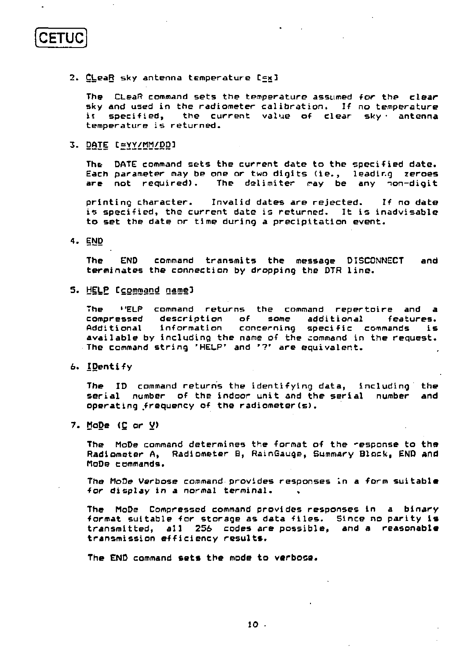**CETUC** 

**2. ÇLeaR sky antenna temperature Cfxl** 

The CLeaR command sets the temperature assumed for the clear **sky and used in the radiometer calibration. If no temperature ii specified, the current value of clear sky- antenna temperature is returned.** 

3. DATE texy/MM/DD]

**The DATE command sets the current date to the specified date. Each parameter may be one or two digits (ie., leading zeroes**  The delimiter may be any non-digit

**printing character. Invalid dates are rejected. If no date is specified, the current date is returned. It is inadvisable to set the date or time during a precipitation event.** 

**4. END** 

**The END command transmits the message DISCONNECT and terminates the connection by dropping the DTR line.** 

**<sup>s</sup>« ti?LP Ccommand name]** 

**The »'ELP command returns the command repertoire and a compressed description of some additional features. Additional information concerning specific commands is available by including the name of the command in the request. The command string 'HELP' and '?' are equivalent.** 

**6. IDentify** 

**The ID command returns the identifying data, including the serial number of the indoor unit and the serial number and operating .frequency of the radiometer (s).** 

**7. MoDe (Ç or V)** 

**The MoDe command determines the format of the "esponse to the Radiometer A, Radiometer B, RainGauge, Summary Block, END and MoDe commands.** 

**The MoDe Verbose command provides responses in a form suitable**  for display in a normal terminal.

**The MoDe Compressed command provides responses in a binary format suitable for storage as data files. Since no parity is transmitted, all 256 codes are possible, and a reasonable transmission efficiency results.** 

**The END command sets the mode to verbose.**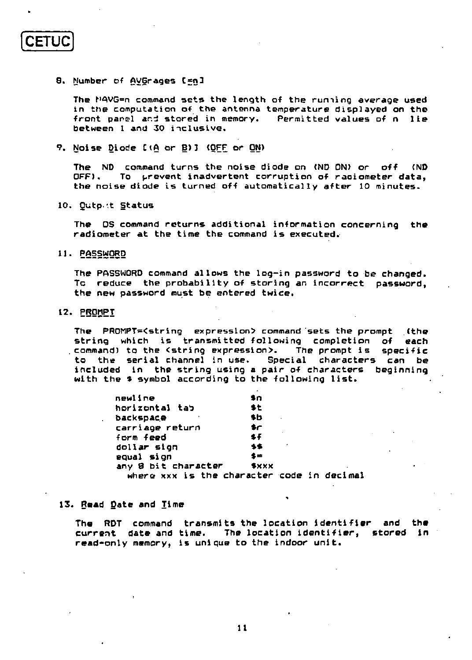**CETUC** 

## 8. Number of <u>AVGrages</u> C<sub>ma</sub>3

**The MAVG=n command sets the length of the ruming average used in the computation of the antenna temperature displayed on the front panel and stored in memory. Permitted values of n lie between 1 and 30 inclusive.** 

**9. Noise Diode C (A or B)3 (OFF or ON)** 

**The ND command turns the noise diode on (ND ON) or off (ND OFF). To prevent inadvertent corruption of raaiometer data, the noise diode is turned off automatically after 10 minutes.** 

**10. Outp.'t Status** 

**The OS command returns additional information concerning the radiometer at the time the command is executed.** 

**11. PASSWORD** 

**The PASSWORD command allows the log-in password to be changed. To reduce the probability of storing an incorrect password, the new password must be entered twice.** 

#### **12. PROMPT**

**The PR0MPT=<string expression> command sets the prompt (the string which is transmitted following completion of each**  command) to the <string expression>. The prompt is specific **to the serial channel in use. Special characters can be included in the string using a pair of characters beginning with the \* symbol according to the following list.** 

| newline             | \$n                                        |
|---------------------|--------------------------------------------|
| horizontal tab      | 多七                                         |
| backspace           | \$b                                        |
| carriage return     | \$r                                        |
| form feed           | sf                                         |
| dollar sign         | ٠<br>多多                                    |
| equal sign          | \$≡                                        |
| any 8 bit character | $*xx$                                      |
|                     | where xxx is the character code in decimal |

**13. Read gate and Time** 

**The RDT command transmits the location identifier and the current date and time. The location identifier, stored in read-only memory, is unique to the indoor unit.**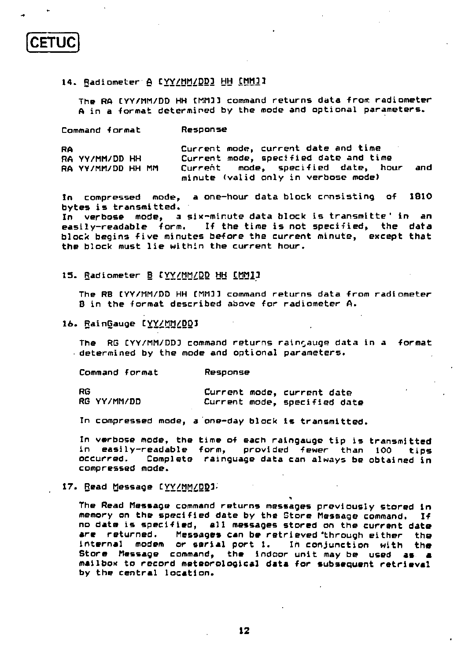# **14. Radiometer A CYY/MM/DD3 HH ÇMM3 3**

**The RA CYY/MM/DD HH CMM3 3 command returns data front radiometer**  A in a format determined by the mode and optional parameters.

**Command -format Response** 

**CETUC** 

| <b>RA</b> |                   | Current mode, current date and time   |     |
|-----------|-------------------|---------------------------------------|-----|
|           | RA YY/MM/DD HH    | Current mode, specified date and time |     |
|           | RA YY/MM/DD HH MM | Current mode, specified date, hour    | and |
|           |                   | minute (valid only in verbose mode)   |     |

**In compressed mode, a one-hour data block consisting of 1810 bytes is transmitted.** 

**In verbose mode, a six-minute data block is transmitte ' in an easily-readable form. If the time is not specified, the data block begins five minutes before the current minute, except that the block must lie within the current hour.** 

**15. Radiometer B CYY/MM/DD HH ÇMM33** 

The RB CYY/MM/DD HH CMM33 command returns data from radiometer **B in the format described above for radiometer A.** 

#### **16. RainGauge CYY/MM/DD3**

**The RG CYY/MM/DD3 command returns rain^auge data in a format determined by the mode and optional parameters.** 

**Command format Response** 

**R6 RG YY/MM/DD Current mode, current date Current mode, specified date** 

**In compressed mode, a one-day block is transmitted.** 

**In verbose mode, the time of each raingauge tip is transmitted in easily-readable form, provided fewer than 100 tips**  Complete rainguage data can always be obtained in **compressed mode.** 

#### **17. Read Message CYY/MM/DD>**

**The Read Message command returns messages previously stored in memory on the specified date by the Store Message command. If no date is specified, all messages stored on the current date are returned. Messages can be retrieved 'through either the internal modem or serial port 1. In conjunction with the Store Message command, the indoor unit may be used as a mailbox to record meteorological data for subsequent retrieval by the central location.**